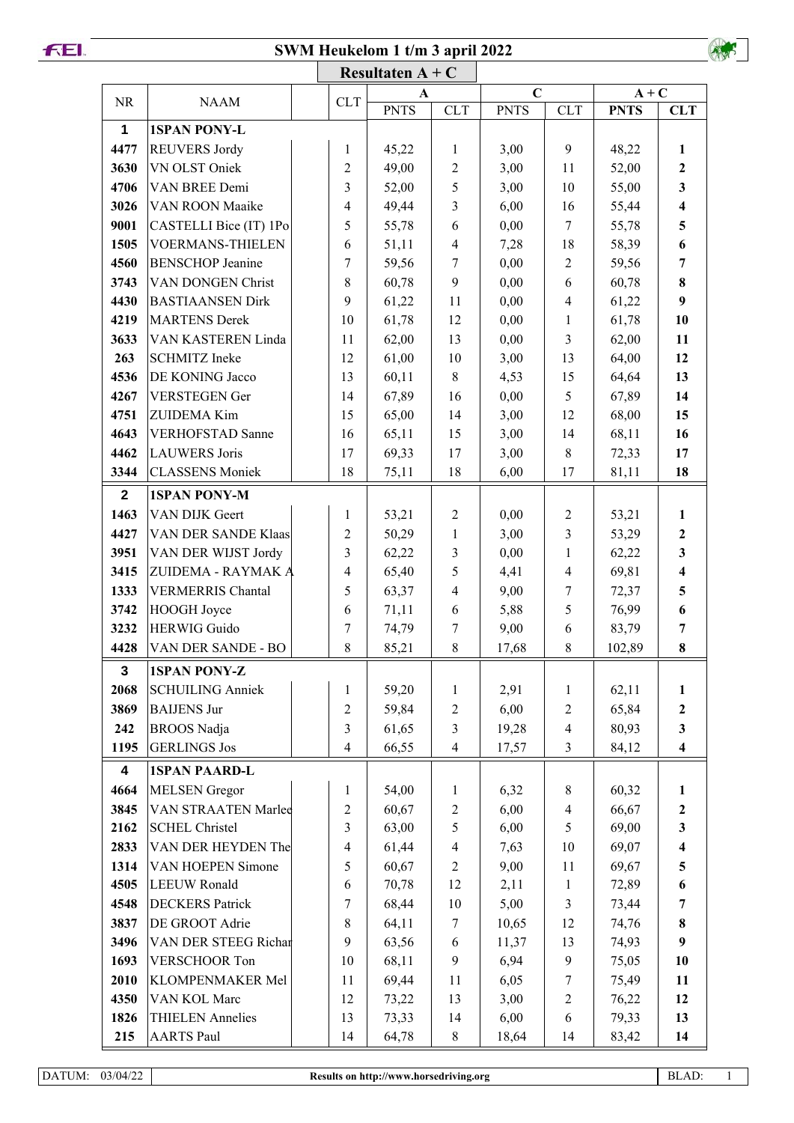**SWM Heukelom 1 t/m 3 april 2022**



| <b>NR</b>               | <b>NAAM</b>                                  | <b>CLT</b>              | A              |                         | $\mathbf C$   |                          | $A + C$        |                         |  |
|-------------------------|----------------------------------------------|-------------------------|----------------|-------------------------|---------------|--------------------------|----------------|-------------------------|--|
|                         |                                              |                         | <b>PNTS</b>    | <b>CLT</b>              | <b>PNTS</b>   | <b>CLT</b>               | <b>PNTS</b>    | <b>CLT</b>              |  |
| 1                       | <b>1SPAN PONY-L</b>                          |                         |                |                         |               |                          |                |                         |  |
| 4477                    | <b>REUVERS Jordy</b>                         | 1                       | 45,22          | $\mathbf{1}$            | 3,00          | 9                        | 48,22          | 1                       |  |
| 3630                    | VN OLST Oniek                                | $\overline{2}$          | 49,00          | $\overline{2}$          | 3,00          | 11                       | 52,00          | $\mathbf{2}$            |  |
| 4706                    | VAN BREE Demi                                | 3                       | 52,00          | 5                       | 3,00          | 10                       | 55,00          | 3                       |  |
| 3026                    | VAN ROON Maaike                              | 4                       | 49,44          | 3                       | 6,00          | 16                       | 55,44          | $\overline{\mathbf{4}}$ |  |
| 9001                    | CASTELLI Bice (IT) 1Po                       | 5                       | 55,78          | 6                       | 0,00          | 7                        | 55,78          | 5                       |  |
| 1505                    | <b>VOERMANS-THIELEN</b>                      | 6                       | 51,11          | $\overline{4}$          | 7,28          | 18                       | 58,39          | 6                       |  |
| 4560                    | <b>BENSCHOP Jeanine</b>                      | 7                       | 59,56          | 7                       | 0,00          | $\overline{c}$           | 59,56          | 7                       |  |
| 3743                    | VAN DONGEN Christ                            | 8                       | 60,78          | 9                       | 0,00          | 6                        | 60,78          | 8                       |  |
| 4430                    | <b>BASTIAANSEN Dirk</b>                      | 9                       | 61,22          | 11                      | 0,00          | $\overline{\mathbf{4}}$  | 61,22          | 9                       |  |
| 4219                    | <b>MARTENS Derek</b>                         | 10                      | 61,78          | 12                      | 0,00          | $\mathbf{1}$             | 61,78          | 10                      |  |
| 3633                    | VAN KASTEREN Linda                           | 11                      | 62,00          | 13                      | 0,00          | $\overline{\mathbf{3}}$  | 62,00          | 11                      |  |
| 263                     | <b>SCHMITZ</b> Ineke                         | 12                      | 61,00          | 10                      | 3,00          | 13                       | 64,00          | 12                      |  |
| 4536                    | DE KONING Jacco                              | 13                      | 60,11          | $8\,$                   | 4,53          | 15                       | 64,64          | 13                      |  |
| 4267                    | <b>VERSTEGEN Ger</b>                         | 14                      | 67,89          | 16                      | 0,00          | 5                        | 67,89          | 14                      |  |
| 4751                    | <b>ZUIDEMA Kim</b>                           | 15                      | 65,00          | 14                      | 3,00          | 12                       | 68,00          | 15                      |  |
| 4643                    | <b>VERHOFSTAD Sanne</b>                      | 16                      | 65,11          | 15                      | 3,00          | 14                       | 68,11          | 16                      |  |
| 4462                    | <b>LAUWERS</b> Joris                         | 17                      | 69,33          | 17                      | 3,00          | 8                        | 72,33          | 17                      |  |
| 3344                    | <b>CLASSENS Moniek</b>                       | 18                      | 75,11          | 18                      | 6,00          | 17                       | 81,11          | 18                      |  |
| $\overline{2}$          | <b>1SPAN PONY-M</b>                          |                         |                |                         |               |                          |                |                         |  |
| 1463                    | VAN DIJK Geert                               | 1                       | 53,21          | $\sqrt{2}$              | 0,00          | $\overline{c}$           | 53,21          | 1                       |  |
| 4427                    | VAN DER SANDE Klaas                          | $\overline{2}$          | 50,29          | $\mathbf{1}$            | 3,00          | 3                        | 53,29          | $\boldsymbol{2}$        |  |
| 3951                    | VAN DER WIJST Jordy                          | 3                       | 62,22          | 3                       | 0,00          | $\mathbf{1}$             | 62,22          | 3                       |  |
| 3415                    | ZUIDEMA - RAYMAK A                           | 4                       | 65,40          | 5                       | 4,41          | $\overline{\mathcal{A}}$ | 69,81          | $\overline{\mathbf{4}}$ |  |
| 1333                    | <b>VERMERRIS Chantal</b>                     | 5                       | 63,37          | 4                       | 9,00          | 7                        | 72,37          | 5                       |  |
| 3742                    | HOOGH Joyce                                  | 6                       | 71,11          | 6                       | 5,88          | 5                        | 76,99          | 6                       |  |
| 3232                    | <b>HERWIG Guido</b>                          | 7                       | 74,79          | 7                       | 9,00          | 6                        | 83,79          | 7                       |  |
| 4428                    | VAN DER SANDE - BO                           | 8                       | 85,21          | $8\,$                   | 17,68         | 8                        | 102,89         | 8                       |  |
| 3                       | <b>1SPAN PONY-Z</b>                          |                         |                |                         |               |                          |                |                         |  |
| 2068                    | <b>SCHUILING Anniek</b>                      | 1                       | 59,20          | 1                       | 2,91          | $\mathbf{1}$             | 62,11          | 1                       |  |
| 3869                    | <b>BAIJENS Jur</b>                           | $\overline{c}$          | 59,84          | 2                       | 6,00          | $\overline{2}$           | 65,84          | $\boldsymbol{2}$        |  |
| 242                     | <b>BROOS</b> Nadja                           | 3                       | 61,65          | 3                       | 19,28         | $\overline{\mathbf{4}}$  | 80,93          | 3                       |  |
| 1195                    | <b>GERLINGS Jos</b>                          | $\overline{4}$          | 66,55          | $\overline{\mathbf{4}}$ | 17,57         | 3                        | 84,12          | $\overline{\mathbf{4}}$ |  |
| $\overline{\mathbf{4}}$ |                                              |                         |                |                         |               |                          |                |                         |  |
| 4664                    | <b>1SPAN PAARD-L</b><br><b>MELSEN</b> Gregor | 1                       | 54,00          | 1                       | 6,32          | 8                        | 60,32          | 1                       |  |
| 3845                    | VAN STRAATEN Marlee                          | $\overline{2}$          |                |                         | 6,00          | $\overline{\mathbf{4}}$  |                | $\boldsymbol{2}$        |  |
| 2162                    | <b>SCHEL Christel</b>                        | 3                       | 60,67<br>63,00 | $\overline{c}$<br>5     | 6,00          | 5                        | 66,67<br>69,00 | 3                       |  |
| 2833                    | VAN DER HEYDEN The                           | $\overline{\mathbf{4}}$ | 61,44          | 4                       | 7,63          | 10                       | 69,07          | $\overline{\mathbf{4}}$ |  |
| 1314                    | VAN HOEPEN Simone                            | 5                       |                | $\overline{2}$          | 9,00          | 11                       | 69,67          | 5                       |  |
| 4505                    | <b>LEEUW Ronald</b>                          | 6                       | 60,67<br>70,78 | 12                      | 2,11          | $\mathbf{1}$             | 72,89          | 6                       |  |
| 4548                    | <b>DECKERS</b> Patrick                       | 7                       | 68,44          | 10                      | 5,00          | $\overline{\mathbf{3}}$  | 73,44          | 7                       |  |
| 3837                    | DE GROOT Adrie                               | 8                       |                | 7                       |               | 12                       |                | 8                       |  |
| 3496                    | VAN DER STEEG Richar                         | 9                       | 64,11<br>63,56 | 6                       | 10,65         | 13                       | 74,76          | 9                       |  |
| 1693                    | VERSCHOOR Ton                                |                         |                | 9                       | 11,37<br>6,94 | 9                        | 74,93          | 10                      |  |
|                         |                                              | 10                      | 68,11          |                         |               |                          | 75,05          |                         |  |
| 2010<br>4350            | KLOMPENMAKER Mel<br>VAN KOL Marc             | 11<br>12                | 69,44          | 11<br>13                | 6,05<br>3,00  | 7<br>$\overline{2}$      | 75,49          | 11<br>12                |  |
| 1826                    | <b>THIELEN Annelies</b>                      | 13                      | 73,22          |                         |               | 6                        | 76,22          | 13                      |  |
|                         |                                              |                         | 73,33          | 14                      | 6,00          |                          | 79,33          |                         |  |
| 215                     | <b>AARTS Paul</b>                            | 14                      | 64,78          | $8\,$                   | 18,64         | 14                       | 83,42          | 14                      |  |

**FEI.**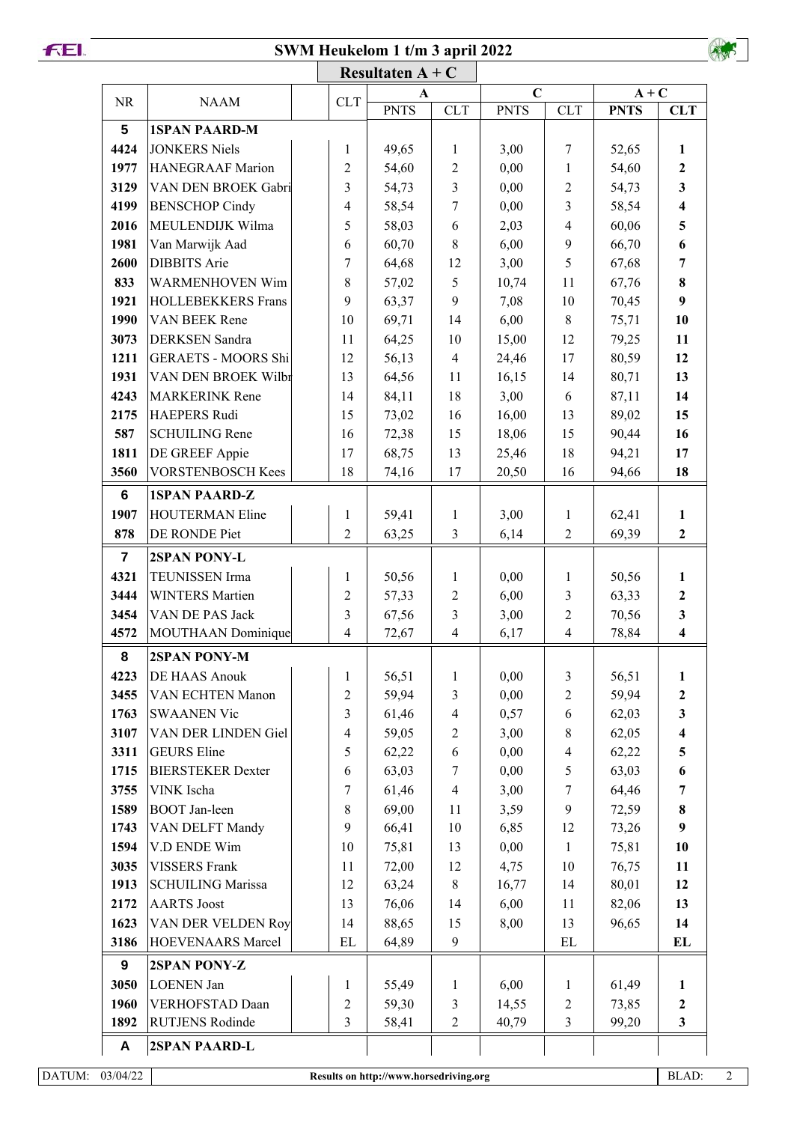## **SWM Heukelom 1 t/m 3 april 2022**



|                |                            |                                | Resultaten $A + C$<br>A |                | $\mathbf C$ |                                | $A + C$     |                         |  |
|----------------|----------------------------|--------------------------------|-------------------------|----------------|-------------|--------------------------------|-------------|-------------------------|--|
| <b>NR</b>      | <b>NAAM</b>                | <b>CLT</b>                     | <b>PNTS</b>             | <b>CLT</b>     | <b>PNTS</b> | <b>CLT</b>                     | <b>PNTS</b> | <b>CLT</b>              |  |
| $5\phantom{1}$ | <b>1SPAN PAARD-M</b>       |                                |                         |                |             |                                |             |                         |  |
| 4424           | <b>JONKERS Niels</b>       | $\mathbf{1}$                   | 49,65                   | $\mathbf{1}$   | 3,00        | $\tau$                         | 52,65       | $\mathbf{1}$            |  |
| 1977           | HANEGRAAF Marion           | $\overline{2}$                 | 54,60                   | $\sqrt{2}$     | 0,00        | $\mathbf{1}$                   | 54,60       | $\mathbf{2}$            |  |
| 3129           | VAN DEN BROEK Gabri        | 3                              | 54,73                   | $\overline{3}$ | 0,00        | $\overline{2}$                 | 54,73       | $\overline{\mathbf{3}}$ |  |
| 4199           | <b>BENSCHOP Cindy</b>      | $\overline{4}$                 | 58,54                   | $\overline{7}$ | 0,00        | $\overline{3}$                 | 58,54       | $\overline{\mathbf{4}}$ |  |
| 2016           | MEULENDIJK Wilma           | 5                              | 58,03                   | 6              | 2,03        | $\overline{4}$                 | 60,06       | 5                       |  |
| 1981           | Van Marwijk Aad            | 6                              | 60,70                   | $\,8\,$        | 6,00        | 9                              | 66,70       | 6                       |  |
| 2600           | <b>DIBBITS</b> Arie        | $\overline{7}$                 | 64,68                   | 12             | 3,00        | 5                              | 67,68       | 7                       |  |
| 833            | <b>WARMENHOVEN Wim</b>     | 8                              | 57,02                   | 5              | 10,74       | 11                             | 67,76       | 8                       |  |
| 1921           | <b>HOLLEBEKKERS</b> Frans  | 9                              | 63,37                   | 9              | 7,08        | 10                             | 70,45       | 9                       |  |
| 1990           | VAN BEEK Rene              | 10                             | 69,71                   | 14             | 6,00        | 8                              | 75,71       | 10                      |  |
| 3073           | DERKSEN Sandra             | 11                             | 64,25                   | 10             | 15,00       | 12                             | 79,25       | 11                      |  |
| 1211           | <b>GERAETS - MOORS Shi</b> | 12                             | 56,13                   | $\overline{4}$ | 24,46       | 17                             | 80,59       | 12                      |  |
| 1931           | VAN DEN BROEK Wilbr        | 13                             | 64,56                   | 11             | 16,15       | 14                             | 80,71       | 13                      |  |
| 4243           | <b>MARKERINK Rene</b>      | 14                             | 84,11                   | 18             | 3,00        | 6                              | 87,11       | 14                      |  |
| 2175           | <b>HAEPERS Rudi</b>        | 15                             | 73,02                   | 16             | 16,00       | 13                             | 89,02       | 15                      |  |
| 587            | <b>SCHUILING Rene</b>      | 16                             | 72,38                   | 15             | 18,06       | 15                             | 90,44       | 16                      |  |
| 1811           | DE GREEF Appie             | 17                             | 68,75                   | 13             | 25,46       | 18                             | 94,21       | 17                      |  |
| 3560           | <b>VORSTENBOSCH Kees</b>   | 18                             | 74,16                   | 17             | 20,50       | 16                             | 94,66       | 18                      |  |
| 6              | <b>1SPAN PAARD-Z</b>       |                                |                         |                |             |                                |             |                         |  |
| 1907           | <b>HOUTERMAN Eline</b>     |                                |                         |                |             |                                |             |                         |  |
| 878            | DE RONDE Piet              | $\mathbf{1}$<br>$\overline{2}$ | 59,41                   | $\mathbf{1}$   | 3,00        | $\mathbf{1}$<br>$\overline{2}$ | 62,41       | $\mathbf{1}$            |  |
|                |                            |                                | 63,25                   | $\mathfrak{Z}$ | 6,14        |                                | 69,39       | $\mathbf{2}$            |  |
| $\overline{7}$ | 2SPAN PONY-L               |                                |                         |                |             |                                |             |                         |  |
| 4321           | TEUNISSEN Irma             | $\mathbf{1}$                   | 50,56                   | $\mathbf{1}$   | 0,00        | $\mathbf{1}$                   | 50,56       | $\mathbf{1}$            |  |
| 3444           | <b>WINTERS Martien</b>     | $\overline{c}$                 | 57,33                   | $\sqrt{2}$     | 6,00        | $\overline{3}$                 | 63,33       | $\mathbf{2}$            |  |
| 3454           | VAN DE PAS Jack            | 3                              | 67,56                   | 3              | 3,00        | $\overline{2}$                 | 70,56       | 3                       |  |
| 4572           | MOUTHAAN Dominique         | 4                              | 72,67                   | $\overline{4}$ | 6,17        | $\overline{4}$                 | 78,84       | $\overline{\mathbf{4}}$ |  |
| 8              | 2SPAN PONY-M               |                                |                         |                |             |                                |             |                         |  |
| 4223           | DE HAAS Anouk              | $\mathbf 1$                    | 56,51                   | 1              | 0,00        | 3                              | 56,51       | 1                       |  |
| 3455           | VAN ECHTEN Manon           | $\overline{2}$                 | 59,94                   | 3              | 0,00        | $\overline{2}$                 | 59,94       | 2                       |  |
| 1763           | <b>SWAANEN Vic</b>         | 3                              | 61,46                   | $\overline{4}$ | 0,57        | 6                              | 62,03       | $\overline{\mathbf{3}}$ |  |
| 3107           | VAN DER LINDEN Giel        | $\overline{\mathbf{4}}$        | 59,05                   | $\overline{c}$ | 3,00        | 8                              | 62,05       | 4                       |  |
| 3311           | <b>GEURS</b> Eline         | 5                              | 62,22                   | 6              | 0,00        | $\overline{4}$                 | 62,22       | 5                       |  |
| 1715           | <b>BIERSTEKER Dexter</b>   | 6                              | 63,03                   | 7              | 0,00        | 5                              | 63,03       | 6                       |  |
| 3755           | VINK Ischa                 | 7                              | 61,46                   | $\overline{4}$ | 3,00        | $\tau$                         | 64,46       | 7                       |  |
| 1589           | <b>BOOT</b> Jan-leen       | 8                              | 69,00                   | 11             | 3,59        | 9                              | 72,59       | 8                       |  |
| 1743           | VAN DELFT Mandy            | 9                              | 66,41                   | 10             | 6,85        | 12                             | 73,26       | $\boldsymbol{9}$        |  |
| 1594           | V.D ENDE Wim               | 10                             | 75,81                   | 13             | 0,00        | $\mathbf{1}$                   | 75,81       | 10                      |  |
| 3035           | <b>VISSERS</b> Frank       | 11                             | 72,00                   | 12             | 4,75        | 10                             | 76,75       | 11                      |  |
| 1913           | <b>SCHUILING Marissa</b>   | 12                             | 63,24                   | $8\,$          | 16,77       | 14                             | 80,01       | 12                      |  |
| 2172           | <b>AARTS</b> Joost         | 13                             | 76,06                   | 14             | 6,00        | 11                             | 82,06       | 13                      |  |
| 1623           | VAN DER VELDEN Roy         | 14                             | 88,65                   | 15             | 8,00        | 13                             | 96,65       | 14                      |  |
| 3186           | HOEVENAARS Marcel          | EL                             | 64,89                   | 9              |             | $\mathbf{EL}$                  |             | EL                      |  |
| 9              | 2SPAN PONY-Z               |                                |                         |                |             |                                |             |                         |  |
| 3050           | <b>LOENEN Jan</b>          | $\mathbf{1}$                   | 55,49                   | $\mathbf{1}$   | 6,00        | $\mathbf{1}$                   | 61,49       | 1                       |  |
| 1960           | VERHOFSTAD Daan            | $\overline{c}$                 | 59,30                   | $\mathfrak{Z}$ | 14,55       | $\overline{2}$                 | 73,85       | $\overline{2}$          |  |
| 1892           | <b>RUTJENS Rodinde</b>     | 3                              | 58,41                   | 2              | 40,79       | $\overline{3}$                 | 99,20       | $\mathbf{3}$            |  |
| A              |                            |                                |                         |                |             |                                |             |                         |  |
|                | 2SPAN PAARD-L              |                                |                         |                |             |                                |             |                         |  |